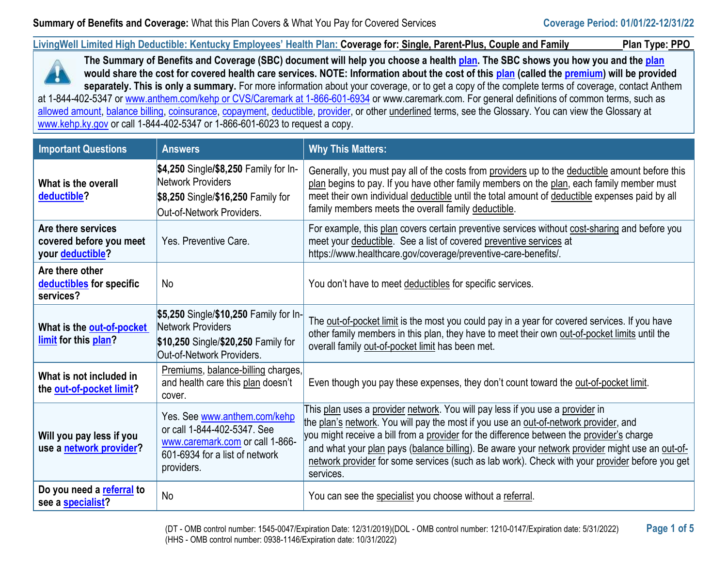**LivingWell Limited High Deductible: Kentucky Employees' Health Plan: Coverage for: Single, Parent-Plus, Couple and Family Plan Type: PPO**



**The Summary of Benefits and Coverage (SBC) document will help you choose a healt[h plan.](https://www.healthcare.gov/sbc-glossary/#plan) The SBC shows you how you and the [plan](https://www.healthcare.gov/sbc-glossary/#plan) would share the cost for covered health care services. NOTE: Information about the cost of this [plan](https://www.healthcare.gov/sbc-glossary/#plan) (called the [premium\)](https://www.healthcare.gov/sbc-glossary/#premium) will be provided separately. This is only a summary.** For more information about your coverage, or to get a copy of the complete terms of coverage, contact Anthem at 1-844-402-5347 or [www.anthem.com/kehp or CVS/Caremark at 1-866-601-6934](http://www.anthem.com/kehp%20or%20CVS/Caremark%20at%201-866-601-6934) or www.caremark.com. For general definitions of common terms, such as [allowed amount,](https://www.healthcare.gov/sbc-glossary/#allowed-amount) [balance billing,](https://www.healthcare.gov/sbc-glossary/#balance-billing) [coinsurance,](https://www.healthcare.gov/sbc-glossary/#coinsurance) [copayment,](https://www.healthcare.gov/sbc-glossary/#copayment) [deductible,](https://www.healthcare.gov/sbc-glossary/#deductible) [provider,](https://www.healthcare.gov/sbc-glossary/#provider) or other underlined terms, see the Glossary. You can view the Glossary at

[www.kehp.ky.gov](http://www.kehp.ky.gov/) or call 1-844-402-5347 or 1-866-601-6023 to request a copy.

| <b>Important Questions</b>                                        | <b>Answers</b>                                                                                                                                 | <b>Why This Matters:</b>                                                                                                                                                                                                                                                                                                                                                                                                                                                            |
|-------------------------------------------------------------------|------------------------------------------------------------------------------------------------------------------------------------------------|-------------------------------------------------------------------------------------------------------------------------------------------------------------------------------------------------------------------------------------------------------------------------------------------------------------------------------------------------------------------------------------------------------------------------------------------------------------------------------------|
| What is the overall<br>deductible?                                | \$4,250 Single/\$8,250 Family for In-<br>Network Providers<br>\$8,250 Single/\$16,250 Family for<br>Out-of-Network Providers.                  | Generally, you must pay all of the costs from providers up to the deductible amount before this<br>plan begins to pay. If you have other family members on the plan, each family member must<br>meet their own individual deductible until the total amount of deductible expenses paid by all<br>family members meets the overall family deductible.                                                                                                                               |
| Are there services<br>covered before you meet<br>your deductible? | Yes. Preventive Care.                                                                                                                          | For example, this plan covers certain preventive services without cost-sharing and before you<br>meet your deductible. See a list of covered preventive services at<br>https://www.healthcare.gov/coverage/preventive-care-benefits/.                                                                                                                                                                                                                                               |
| Are there other<br>deductibles for specific<br>services?          | <b>No</b>                                                                                                                                      | You don't have to meet deductibles for specific services.                                                                                                                                                                                                                                                                                                                                                                                                                           |
| What is the out-of-pocket<br>limit for this plan?                 | \$5,250 Single/\$10,250 Family for In-<br>Network Providers<br>\$10,250 Single/\$20,250 Family for<br>Out-of-Network Providers.                | The out-of-pocket limit is the most you could pay in a year for covered services. If you have<br>other family members in this plan, they have to meet their own out-of-pocket limits until the<br>overall family out-of-pocket limit has been met.                                                                                                                                                                                                                                  |
| What is not included in<br>the out-of-pocket limit?               | Premiums, balance-billing charges,<br>and health care this plan doesn't<br>cover.                                                              | Even though you pay these expenses, they don't count toward the out-of-pocket limit.                                                                                                                                                                                                                                                                                                                                                                                                |
| Will you pay less if you<br>use a network provider?               | Yes. See www.anthem.com/kehp<br>or call 1-844-402-5347. See<br>www.caremark.com or call 1-866-<br>601-6934 for a list of network<br>providers. | This plan uses a provider network. You will pay less if you use a provider in<br>the plan's network. You will pay the most if you use an out-of-network provider, and<br>you might receive a bill from a provider for the difference between the provider's charge<br>and what your plan pays (balance billing). Be aware your network provider might use an out-of-<br>network provider for some services (such as lab work). Check with your provider before you get<br>services. |
| Do you need a referral to<br>see a specialist?                    | <b>No</b>                                                                                                                                      | You can see the specialist you choose without a referral.                                                                                                                                                                                                                                                                                                                                                                                                                           |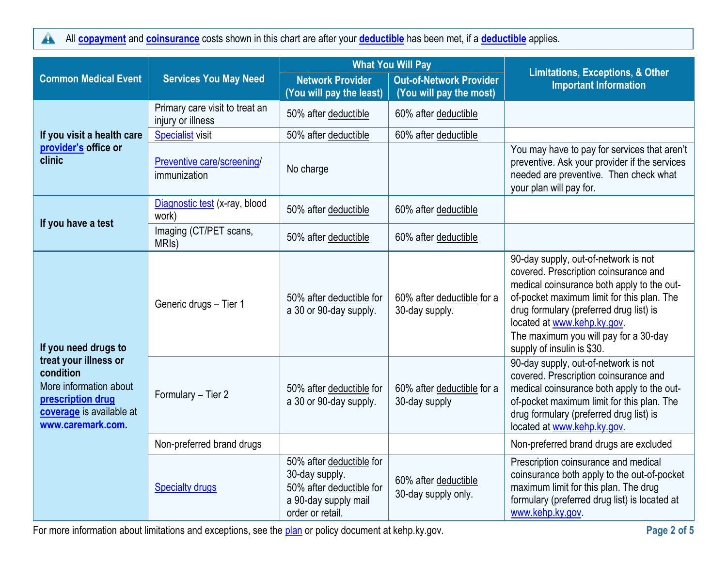All **[copayment](https://www.healthcare.gov/sbc-glossary/#copayment)** and **[coinsurance](https://www.healthcare.gov/sbc-glossary/#coinsurance)** costs shown in this chart are after your **[deductible](https://www.healthcare.gov/sbc-glossary/#deductible)** has been met, if a **[deductible](https://www.healthcare.gov/sbc-glossary/#deductible)** applies.  $\blacktriangle$ 

|                                                                                                                                                            | <b>What You Will Pay</b>                            |                                                                                                                    |                                                           | <b>Limitations, Exceptions, &amp; Other</b>                                                                                                                                                                                                                                                                                |  |
|------------------------------------------------------------------------------------------------------------------------------------------------------------|-----------------------------------------------------|--------------------------------------------------------------------------------------------------------------------|-----------------------------------------------------------|----------------------------------------------------------------------------------------------------------------------------------------------------------------------------------------------------------------------------------------------------------------------------------------------------------------------------|--|
| <b>Common Medical Event</b>                                                                                                                                | <b>Services You May Need</b>                        | <b>Network Provider</b><br>(You will pay the least)                                                                | <b>Out-of-Network Provider</b><br>(You will pay the most) | <b>Important Information</b>                                                                                                                                                                                                                                                                                               |  |
|                                                                                                                                                            | Primary care visit to treat an<br>injury or illness | 50% after deductible                                                                                               | 60% after deductible                                      |                                                                                                                                                                                                                                                                                                                            |  |
| If you visit a health care                                                                                                                                 | <b>Specialist visit</b>                             | 50% after deductible                                                                                               | 60% after deductible                                      |                                                                                                                                                                                                                                                                                                                            |  |
| provider's office or<br>clinic                                                                                                                             | Preventive care/screening/<br>immunization          | No charge                                                                                                          |                                                           | You may have to pay for services that aren't<br>preventive. Ask your provider if the services<br>needed are preventive. Then check what<br>your plan will pay for.                                                                                                                                                         |  |
| If you have a test                                                                                                                                         | Diagnostic test (x-ray, blood<br>work)              | 50% after deductible                                                                                               | 60% after deductible                                      |                                                                                                                                                                                                                                                                                                                            |  |
|                                                                                                                                                            | Imaging (CT/PET scans,<br>MRI <sub>s</sub> )        | 50% after deductible                                                                                               | 60% after deductible                                      |                                                                                                                                                                                                                                                                                                                            |  |
| If you need drugs to<br>treat your illness or<br>condition<br>More information about<br>prescription drug<br>coverage is available at<br>www.caremark.com. | Generic drugs - Tier 1                              | 50% after deductible for<br>a 30 or 90-day supply.                                                                 | 60% after deductible for a<br>30-day supply.              | 90-day supply, out-of-network is not<br>covered. Prescription coinsurance and<br>medical coinsurance both apply to the out-<br>of-pocket maximum limit for this plan. The<br>drug formulary (preferred drug list) is<br>located at www.kehp.ky.gov.<br>The maximum you will pay for a 30-day<br>supply of insulin is \$30. |  |
|                                                                                                                                                            | Formulary - Tier 2                                  | 50% after deductible for<br>a 30 or 90-day supply.                                                                 | 60% after deductible for a<br>30-day supply               | 90-day supply, out-of-network is not<br>covered. Prescription coinsurance and<br>medical coinsurance both apply to the out-<br>of-pocket maximum limit for this plan. The<br>drug formulary (preferred drug list) is<br>located at www.kehp.ky.gov.                                                                        |  |
|                                                                                                                                                            | Non-preferred brand drugs                           |                                                                                                                    |                                                           | Non-preferred brand drugs are excluded                                                                                                                                                                                                                                                                                     |  |
|                                                                                                                                                            | <b>Specialty drugs</b>                              | 50% after deductible for<br>30-day supply.<br>50% after deductible for<br>a 90-day supply mail<br>order or retail. | 60% after deductible<br>30-day supply only.               | Prescription coinsurance and medical<br>coinsurance both apply to the out-of-pocket<br>maximum limit for this plan. The drug<br>formulary (preferred drug list) is located at<br>www.kehp.ky.gov                                                                                                                           |  |

For more information about limitations and exceptions, see the **plan** or policy document at kehp.ky.gov. **Page 2 page 2 page 2** of 5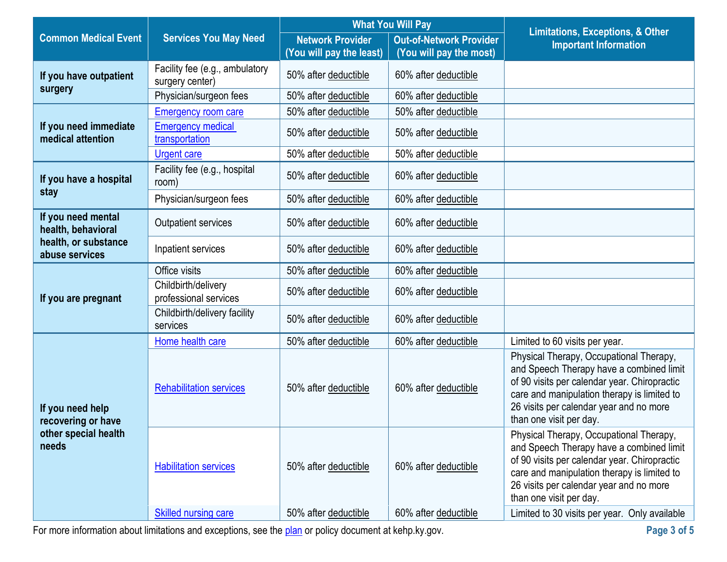|                                                                         | <b>What You Will Pay</b>                          |                          |                                | <b>Limitations, Exceptions, &amp; Other</b>                                                                                                                                                                                                              |
|-------------------------------------------------------------------------|---------------------------------------------------|--------------------------|--------------------------------|----------------------------------------------------------------------------------------------------------------------------------------------------------------------------------------------------------------------------------------------------------|
| <b>Common Medical Event</b>                                             | <b>Services You May Need</b>                      | <b>Network Provider</b>  | <b>Out-of-Network Provider</b> | <b>Important Information</b>                                                                                                                                                                                                                             |
|                                                                         |                                                   | (You will pay the least) | (You will pay the most)        |                                                                                                                                                                                                                                                          |
| If you have outpatient<br>surgery                                       | Facility fee (e.g., ambulatory<br>surgery center) | 50% after deductible     | 60% after deductible           |                                                                                                                                                                                                                                                          |
|                                                                         | Physician/surgeon fees                            | 50% after deductible     | 60% after deductible           |                                                                                                                                                                                                                                                          |
|                                                                         | <b>Emergency room care</b>                        | 50% after deductible     | 50% after deductible           |                                                                                                                                                                                                                                                          |
| If you need immediate<br>medical attention                              | <b>Emergency medical</b><br>transportation        | 50% after deductible     | 50% after deductible           |                                                                                                                                                                                                                                                          |
|                                                                         | <b>Urgent care</b>                                | 50% after deductible     | 50% after deductible           |                                                                                                                                                                                                                                                          |
| If you have a hospital                                                  | Facility fee (e.g., hospital<br>room)             | 50% after deductible     | 60% after deductible           |                                                                                                                                                                                                                                                          |
| stay                                                                    | Physician/surgeon fees                            | 50% after deductible     | 60% after deductible           |                                                                                                                                                                                                                                                          |
| If you need mental<br>health, behavioral                                | Outpatient services                               | 50% after deductible     | 60% after deductible           |                                                                                                                                                                                                                                                          |
| health, or substance<br>abuse services                                  | Inpatient services                                | 50% after deductible     | 60% after deductible           |                                                                                                                                                                                                                                                          |
|                                                                         | Office visits                                     | 50% after deductible     | 60% after deductible           |                                                                                                                                                                                                                                                          |
| If you are pregnant                                                     | Childbirth/delivery<br>professional services      | 50% after deductible     | 60% after deductible           |                                                                                                                                                                                                                                                          |
|                                                                         | Childbirth/delivery facility<br>services          | 50% after deductible     | 60% after deductible           |                                                                                                                                                                                                                                                          |
|                                                                         | Home health care                                  | 50% after deductible     | 60% after deductible           | Limited to 60 visits per year.                                                                                                                                                                                                                           |
| If you need help<br>recovering or have<br>other special health<br>needs | <b>Rehabilitation services</b>                    | 50% after deductible     | 60% after deductible           | Physical Therapy, Occupational Therapy,<br>and Speech Therapy have a combined limit<br>of 90 visits per calendar year. Chiropractic<br>care and manipulation therapy is limited to<br>26 visits per calendar year and no more<br>than one visit per day. |
|                                                                         | <b>Habilitation services</b>                      | 50% after deductible     | 60% after deductible           | Physical Therapy, Occupational Therapy,<br>and Speech Therapy have a combined limit<br>of 90 visits per calendar year. Chiropractic<br>care and manipulation therapy is limited to<br>26 visits per calendar year and no more<br>than one visit per day. |
|                                                                         | <b>Skilled nursing care</b>                       | 50% after deductible     | 60% after deductible           | Limited to 30 visits per year. Only available                                                                                                                                                                                                            |

For more information about limitations and exceptions, see the [plan](https://www.healthcare.gov/sbc-glossary/#plan) or policy document at kehp.ky.gov. **Page 3 page 3 page 3 of 5** 

 $\sim$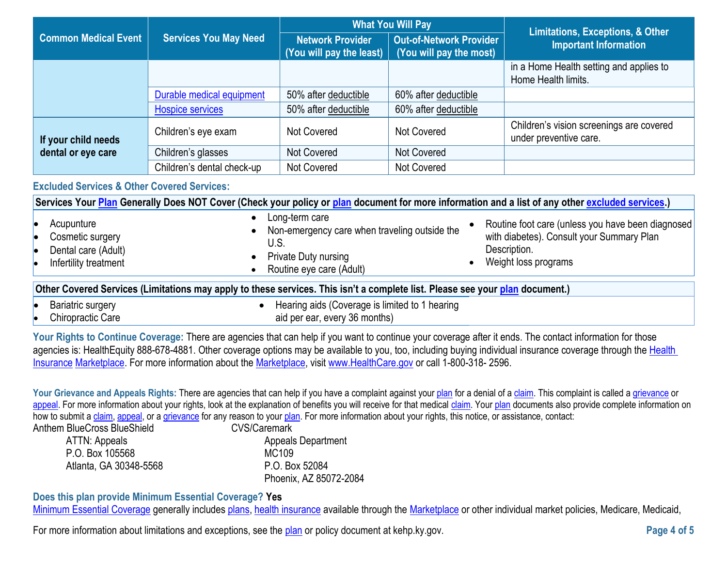|                             | <b>Services You May Need</b> | <b>What You Will Pay</b>                                    |                                                           | <b>Limitations, Exceptions, &amp; Other</b>                        |
|-----------------------------|------------------------------|-------------------------------------------------------------|-----------------------------------------------------------|--------------------------------------------------------------------|
| <b>Common Medical Event</b> |                              | <b>Network Provider</b><br>$ $ (You will pay the least) $ $ | <b>Out-of-Network Provider</b><br>(You will pay the most) | <b>Important Information</b>                                       |
|                             |                              |                                                             |                                                           | in a Home Health setting and applies to<br>Home Health limits.     |
|                             | Durable medical equipment    | 50% after deductible                                        | 60% after deductible                                      |                                                                    |
|                             | <b>Hospice services</b>      | 50% after deductible                                        | 60% after deductible                                      |                                                                    |
| If your child needs         | Children's eye exam          | Not Covered                                                 | Not Covered                                               | Children's vision screenings are covered<br>under preventive care. |
| dental or eye care          | Children's glasses           | Not Covered                                                 | Not Covered                                               |                                                                    |
|                             | Children's dental check-up   | Not Covered                                                 | Not Covered                                               |                                                                    |

### **Excluded Services & Other Covered Services:**

| Services Your Plan Generally Does NOT Cover (Check your policy or plan document for more information and a list of any other excluded services.) |                                                                                                                             |                                                                                                                                        |  |
|--------------------------------------------------------------------------------------------------------------------------------------------------|-----------------------------------------------------------------------------------------------------------------------------|----------------------------------------------------------------------------------------------------------------------------------------|--|
| Acupunture<br>Cosmetic surgery<br>Dental care (Adult)<br>Infertility treatment                                                                   | Long-term care<br>Non-emergency care when traveling outside the<br>U.S.<br>Private Duty nursing<br>Routine eye care (Adult) | Routine foot care (unless you have been diagnosed<br>with diabetes). Consult your Summary Plan<br>Description.<br>Weight loss programs |  |
| Other Covered Services (Limitations may apply to these services. This isn't a complete list. Please see your plan document.)                     |                                                                                                                             |                                                                                                                                        |  |
| <b>Bariatric surgery</b>                                                                                                                         | Hearing aids (Coverage is limited to 1 hearing                                                                              |                                                                                                                                        |  |
| Chiropractic Care                                                                                                                                | aid per ear, every 36 months)                                                                                               |                                                                                                                                        |  |

Your Rights to Continue Coverage: There are agencies that can help if you want to continue your coverage after it ends. The contact information for those agencies is: HealthEquity 888-678-4881. Other coverage options may be available to you, too, including buying individual insurance coverage through the Health [Insurance](https://www.healthcare.gov/sbc-glossary/#health-insurance) [Marketplace.](https://www.healthcare.gov/sbc-glossary/#marketplace) For more information about the [Marketplace,](https://www.healthcare.gov/sbc-glossary/#marketplace) visit [www.HealthCare.gov](http://www.healthcare.gov/) or call 1-800-318- 2596.

Your Grievance and Appeals Rights: There are agencies that can help if you have a complaint against your [plan](https://www.healthcare.gov/sbc-glossary/#plan) for a denial of a [claim.](https://www.healthcare.gov/sbc-glossary/#claim) This complaint is called a [grievance](https://www.healthcare.gov/sbc-glossary/#grievance) or [appeal.](https://www.healthcare.gov/sbc-glossary/#appeal) For more information about your rights, look at the explanation of benefits you will receive for that medical [claim.](https://www.healthcare.gov/sbc-glossary/#claim) Your [plan](https://www.healthcare.gov/sbc-glossary/#plan) documents also provide complete information on how to submit [a claim,](https://www.healthcare.gov/sbc-glossary/#claim) [appeal,](https://www.healthcare.gov/sbc-glossary/#appeal) or a [grievance](https://www.healthcare.gov/sbc-glossary/#grievance) for any reason to your [plan.](https://www.healthcare.gov/sbc-glossary/#plan) For more information about your rights, this notice, or assistance, contact: Anthem BlueCross BlueShield

| em BlueCross BlueSnield. | CVS/Caremark              |
|--------------------------|---------------------------|
| ATTN: Appeals            | <b>Appeals Department</b> |
| P.O. Box 105568          | MC109                     |
| Atlanta, GA 30348-5568   | P.O. Box 52084            |
|                          | Phoenix, AZ 85072-2084    |

# **Does this plan provide Minimum Essential Coverage? Yes**

[Minimum Essential Coverage](https://www.healthcare.gov/sbc-glossary/#minimum-essential-coverage) generally includes [plans,](https://www.healthcare.gov/sbc-glossary/#plan) [health insurance](https://www.healthcare.gov/sbc-glossary/#health-insurance) available through the [Marketplace](https://www.healthcare.gov/sbc-glossary/#marketplace) or other individual market policies, Medicare, Medicaid,

For more information about limitations and exceptions, see the [plan](https://www.healthcare.gov/sbc-glossary/#plan) or policy document at kehp.ky.gov.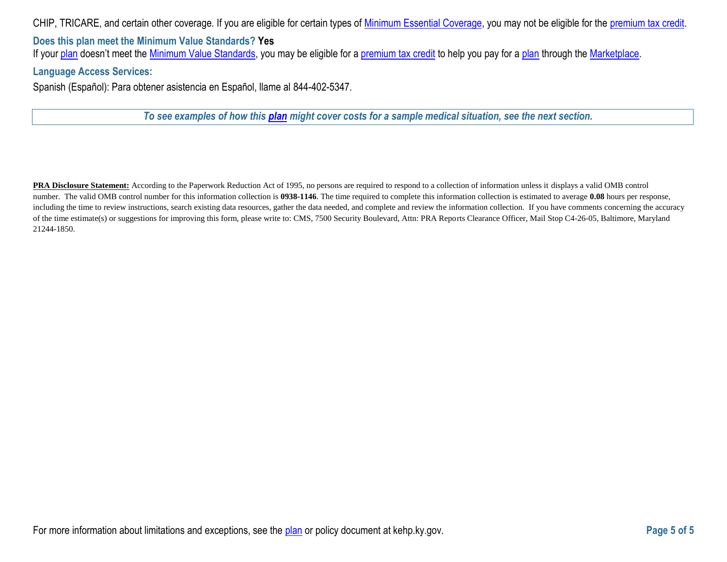CHIP, TRICARE, and certain other coverage. If you are eligible for certain types of [Minimum Essential Coverage,](https://www.healthcare.gov/sbc-glossary/#minimum-essential-coverage) you may not be eligible for the [premium tax credit.](https://www.healthcare.gov/sbc-glossary/#premium-tax-credits)

**Does this plan meet the Minimum Value Standards? Yes** If your [plan](https://www.healthcare.gov/sbc-glossary/#plan) doesn't meet the [Minimum Value Standards,](https://www.healthcare.gov/sbc-glossary/#minimum-value-standard) you may be eligible for a [premium tax credit](https://www.healthcare.gov/sbc-glossary/#premium-tax-credits) to help you pay for a plan through the [Marketplace.](https://www.healthcare.gov/sbc-glossary/#marketplace)

#### **Language Access Services:**

Spanish (Español): Para obtener asistencia en Español, llame al 844-402-5347.

*To see examples of how this [plan](https://www.healthcare.gov/sbc-glossary/#plan) might cover costs for a sample medical situation, see the next section.*

**PRA Disclosure Statement:** According to the Paperwork Reduction Act of 1995, no persons are required to respond to a collection of information unless it displays a valid OMB control number. The valid OMB control number for this information collection is **0938-1146**. The time required to complete this information collection is estimated to average **0.08** hours per response, including the time to review instructions, search existing data resources, gather the data needed, and complete and review the information collection. If you have comments concerning the accuracy of the time estimate(s) or suggestions for improving this form, please write to: CMS, 7500 Security Boulevard, Attn: PRA Reports Clearance Officer, Mail Stop C4-26-05, Baltimore, Maryland 21244-1850.